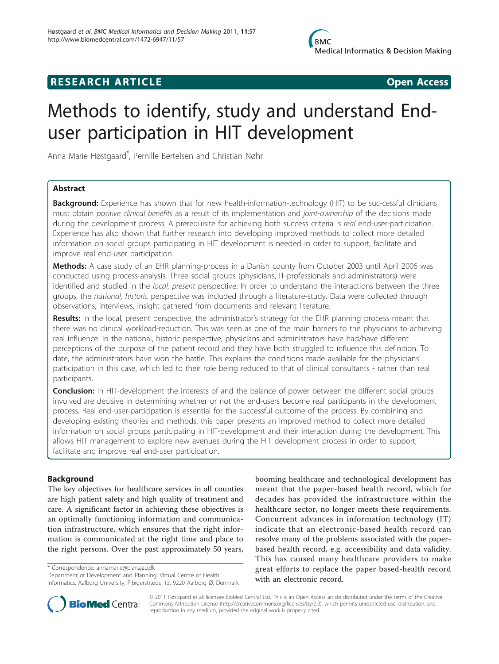# **RESEARCH ARTICLE Example 2018 12:00 Open Access**

# Methods to identify, study and understand Enduser participation in HIT development

Anna Marie Høstgaard\* , Pernille Bertelsen and Christian Nøhr

# Abstract

Background: Experience has shown that for new health-information-technology (HIT) to be suc-cessful clinicians must obtain positive clinical benefits as a result of its implementation and joint-ownership of the decisions made during the development process. A prerequisite for achieving both success criteria is real end-user-participation. Experience has also shown that further research into developing improved methods to collect more detailed information on social groups participating in HIT development is needed in order to support, facilitate and improve real end-user participation.

Methods: A case study of an EHR planning-process in a Danish county from October 2003 until April 2006 was conducted using process-analysis. Three social groups (physicians, IT-professionals and administrators) were identified and studied in the local, present perspective. In order to understand the interactions between the three groups, the national, historic perspective was included through a literature-study. Data were collected through observations, interviews, insight gathered from documents and relevant literature.

Results: In the local, present perspective, the administrator's strategy for the EHR planning process meant that there was no clinical workload-reduction. This was seen as one of the main barriers to the physicians to achieving real influence. In the national, historic perspective, physicians and administrators have had/have different perceptions of the purpose of the patient record and they have both struggled to influence this definition. To date, the administrators have won the battle. This explains the conditions made available for the physicians' participation in this case, which led to their role being reduced to that of clinical consultants - rather than real participants.

**Conclusion:** In HIT-development the interests of and the balance of power between the different social groups involved are decisive in determining whether or not the end-users become real participants in the development process. Real end-user-participation is essential for the successful outcome of the process. By combining and developing existing theories and methods, this paper presents an improved method to collect more detailed information on social groups participating in HIT-development and their interaction during the development. This allows HIT management to explore new avenues during the HIT development process in order to support, facilitate and improve real end-user participation.

# Background

The key objectives for healthcare services in all counties are high patient safety and high quality of treatment and care. A significant factor in achieving these objectives is an optimally functioning information and communication infrastructure, which ensures that the right information is communicated at the right time and place to the right persons. Over the past approximately 50 years,

\* Correspondence: [annamarie@plan.aau.dk](mailto:annamarie@plan.aau.dk)

Department of Development and Planning, Virtual Centre of Health Informatics, Aalborg University, Fibigerstræde 13, 9220 Aalborg Ø, Denmark booming healthcare and technological development has meant that the paper-based health record, which for decades has provided the infrastructure within the healthcare sector, no longer meets these requirements. Concurrent advances in information technology (IT) indicate that an electronic-based health record can resolve many of the problems associated with the paperbased health record, e.g. accessibility and data validity. This has caused many healthcare providers to make great efforts to replace the paper based-health record with an electronic record.



© 2011 Høstgaard et al; licensee BioMed Central Ltd. This is an Open Access article distributed under the terms of the Creative Commons Attribution License [\(http://creativecommons.org/licenses/by/2.0](http://creativecommons.org/licenses/by/2.0)), which permits unrestricted use, distribution, and reproduction in any medium, provided the original work is properly cited.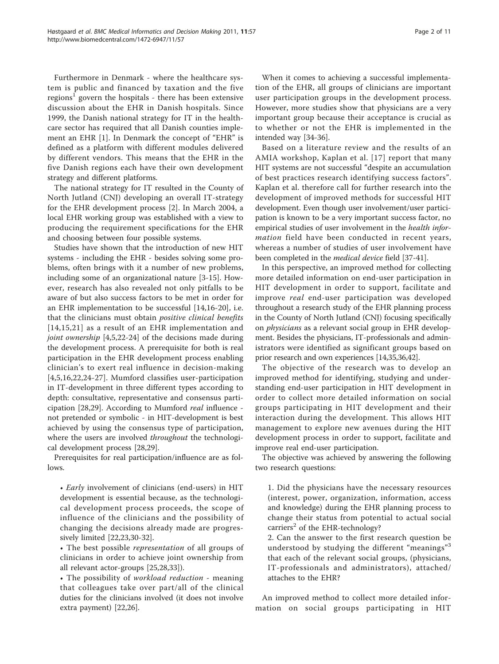Furthermore in Denmark - where the healthcare system is public and financed by taxation and the five  $regions<sup>1</sup>$  govern the hospitals - there has been extensive discussion about the EHR in Danish hospitals. Since 1999, the Danish national strategy for IT in the healthcare sector has required that all Danish counties implement an EHR [\[1](#page-9-0)]. In Denmark the concept of "EHR" is defined as a platform with different modules delivered by different vendors. This means that the EHR in the five Danish regions each have their own development strategy and different platforms.

The national strategy for IT resulted in the County of North Jutland (CNJ) developing an overall IT-strategy for the EHR development process [\[2](#page-9-0)]. In March 2004, a local EHR working group was established with a view to producing the requirement specifications for the EHR and choosing between four possible systems.

Studies have shown that the introduction of new HIT systems - including the EHR - besides solving some problems, often brings with it a number of new problems, including some of an organizational nature [[3-15\]](#page-9-0). However, research has also revealed not only pitfalls to be aware of but also success factors to be met in order for an EHR implementation to be successful [\[14](#page-9-0),[16-20](#page-9-0)], i.e. that the clinicians must obtain positive clinical benefits [[14,15](#page-9-0),[21](#page-9-0)] as a result of an EHR implementation and joint ownership [[4,5,22-24](#page-9-0)] of the decisions made during the development process. A prerequisite for both is real participation in the EHR development process enabling clinician's to exert real influence in decision-making [[4,5](#page-9-0),[16,22,24](#page-9-0)-[27](#page-9-0)]. Mumford classifies user-participation in IT-development in three different types according to depth: consultative, representative and consensus participation [\[28,29\]](#page-9-0). According to Mumford real influence not pretended or symbolic - in HIT-development is best achieved by using the consensus type of participation, where the users are involved *throughout* the technological development process [\[28,29\]](#page-9-0).

Prerequisites for real participation/influence are as follows.

• Early involvement of clinicians (end-users) in HIT development is essential because, as the technological development process proceeds, the scope of influence of the clinicians and the possibility of changing the decisions already made are progressively limited [[22,23](#page-9-0),[30](#page-9-0)-[32\]](#page-10-0).

• The best possible *representation* of all groups of clinicians in order to achieve joint ownership from all relevant actor-groups [\[25,28,](#page-9-0)[33\]](#page-10-0)).

• The possibility of workload reduction - meaning that colleagues take over part/all of the clinical duties for the clinicians involved (it does not involve extra payment) [[22,26](#page-9-0)].

When it comes to achieving a successful implementation of the EHR, all groups of clinicians are important user participation groups in the development process. However, more studies show that physicians are a very important group because their acceptance is crucial as to whether or not the EHR is implemented in the intended way [[34](#page-10-0)-[36\]](#page-10-0).

Based on a literature review and the results of an AMIA workshop, Kaplan et al. [[17](#page-9-0)] report that many HIT systems are not successful "despite an accumulation of best practices research identifying success factors". Kaplan et al. therefore call for further research into the development of improved methods for successful HIT development. Even though user involvement/user participation is known to be a very important success factor, no empirical studies of user involvement in the health information field have been conducted in recent years, whereas a number of studies of user involvement have been completed in the medical device field [\[37](#page-10-0)-[41](#page-10-0)].

In this perspective, an improved method for collecting more detailed information on end-user participation in HIT development in order to support, facilitate and improve real end-user participation was developed throughout a research study of the EHR planning process in the County of North Jutland (CNJ) focusing specifically on physicians as a relevant social group in EHR development. Besides the physicians, IT-professionals and administrators were identified as significant groups based on prior research and own experiences [[14](#page-9-0),[35,36,42](#page-10-0)].

The objective of the research was to develop an improved method for identifying, studying and understanding end-user participation in HIT development in order to collect more detailed information on social groups participating in HIT development and their interaction during the development. This allows HIT management to explore new avenues during the HIT development process in order to support, facilitate and improve real end-user participation.

The objective was achieved by answering the following two research questions:

1. Did the physicians have the necessary resources (interest, power, organization, information, access and knowledge) during the EHR planning process to change their status from potential to actual social carriers<sup>2</sup> of the EHR-technology?

2. Can the answer to the first research question be understood by studying the different "meanings"<sup>3</sup> that each of the relevant social groups, (physicians, IT-professionals and administrators), attached/ attaches to the EHR?

An improved method to collect more detailed information on social groups participating in HIT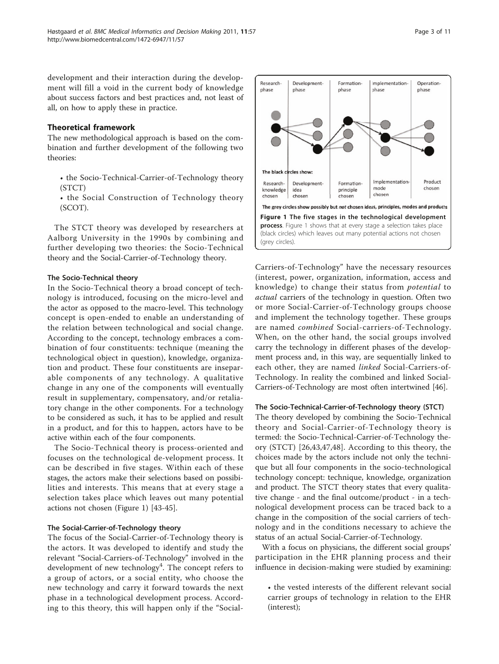development and their interaction during the development will fill a void in the current body of knowledge about success factors and best practices and, not least of all, on how to apply these in practice.

# Theoretical framework

The new methodological approach is based on the combination and further development of the following two theories:

- the Socio-Technical-Carrier-of-Technology theory (STCT)
- the Social Construction of Technology theory (SCOT).

The STCT theory was developed by researchers at Aalborg University in the 1990s by combining and further developing two theories: the Socio-Technical theory and the Social-Carrier-of-Technology theory.

### The Socio-Technical theory

In the Socio-Technical theory a broad concept of technology is introduced, focusing on the micro-level and the actor as opposed to the macro-level. This technology concept is open-ended to enable an understanding of the relation between technological and social change. According to the concept, technology embraces a combination of four constituents: technique (meaning the technological object in question), knowledge, organization and product. These four constituents are inseparable components of any technology. A qualitative change in any one of the components will eventually result in supplementary, compensatory, and/or retaliatory change in the other components. For a technology to be considered as such, it has to be applied and result in a product, and for this to happen, actors have to be active within each of the four components.

The Socio-Technical theory is process-oriented and focuses on the technological de-velopment process. It can be described in five stages. Within each of these stages, the actors make their selections based on possibilities and interests. This means that at every stage a selection takes place which leaves out many potential actions not chosen (Figure 1) [[43](#page-10-0)-[45\]](#page-10-0).

### The Social-Carrier-of-Technology theory

The focus of the Social-Carrier-of-Technology theory is the actors. It was developed to identify and study the relevant "Social-Carriers-of-Technology" involved in the development of new technology<sup>4</sup>. The concept refers to a group of actors, or a social entity, who choose the new technology and carry it forward towards the next phase in a technological development process. According to this theory, this will happen only if the "Social-



Carriers-of-Technology" have the necessary resources (interest, power, organization, information, access and knowledge) to change their status from potential to actual carriers of the technology in question. Often two or more Social-Carrier-of-Technology groups choose and implement the technology together. These groups are named combined Social-carriers-of-Technology. When, on the other hand, the social groups involved carry the technology in different phases of the development process and, in this way, are sequentially linked to each other, they are named *linked* Social-Carriers-of-Technology. In reality the combined and linked Social-Carriers-of-Technology are most often intertwined [\[46](#page-10-0)].

#### The Socio-Technical-Carrier-of-Technology theory (STCT)

The theory developed by combining the Socio-Technical theory and Social-Carrier-of-Technology theory is termed: the Socio-Technical-Carrier-of-Technology theory (STCT) [[26](#page-9-0)[,43](#page-10-0),[47,48\]](#page-10-0). According to this theory, the choices made by the actors include not only the technique but all four components in the socio-technological technology concept: technique, knowledge, organization and product. The STCT theory states that every qualitative change - and the final outcome/product - in a technological development process can be traced back to a change in the composition of the social carriers of technology and in the conditions necessary to achieve the status of an actual Social-Carrier-of-Technology.

With a focus on physicians, the different social groups' participation in the EHR planning process and their influence in decision-making were studied by examining:

• the vested interests of the different relevant social carrier groups of technology in relation to the EHR (interest);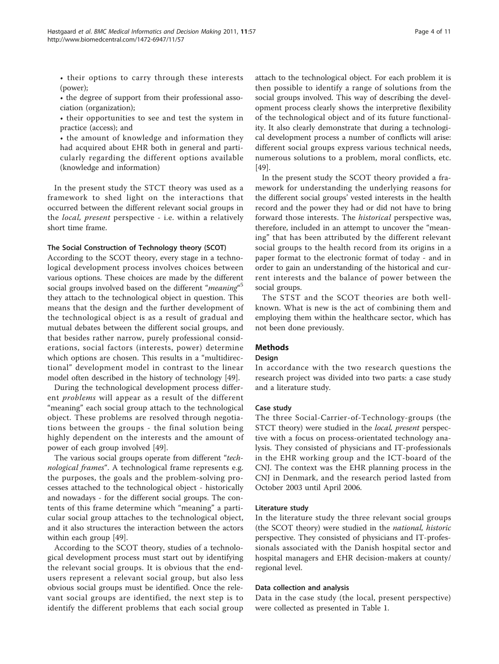• their options to carry through these interests (power);

• the degree of support from their professional association (organization);

• their opportunities to see and test the system in practice (access); and

• the amount of knowledge and information they had acquired about EHR both in general and particularly regarding the different options available (knowledge and information)

In the present study the STCT theory was used as a framework to shed light on the interactions that occurred between the different relevant social groups in the local, present perspective - i.e. within a relatively short time frame.

#### The Social Construction of Technology theory (SCOT)

According to the SCOT theory, every stage in a technological development process involves choices between various options. These choices are made by the different social groups involved based on the different "meaning"<sup>5</sup> they attach to the technological object in question. This means that the design and the further development of the technological object is as a result of gradual and mutual debates between the different social groups, and that besides rather narrow, purely professional considerations, social factors (interests, power) determine which options are chosen. This results in a "multidirectional" development model in contrast to the linear model often described in the history of technology [\[49](#page-10-0)].

During the technological development process different problems will appear as a result of the different "meaning" each social group attach to the technological object. These problems are resolved through negotiations between the groups - the final solution being highly dependent on the interests and the amount of power of each group involved [[49](#page-10-0)].

The various social groups operate from different "technological frames". A technological frame represents e.g. the purposes, the goals and the problem-solving processes attached to the technological object - historically and nowadays - for the different social groups. The contents of this frame determine which "meaning" a particular social group attaches to the technological object, and it also structures the interaction between the actors within each group [[49](#page-10-0)].

According to the SCOT theory, studies of a technological development process must start out by identifying the relevant social groups. It is obvious that the endusers represent a relevant social group, but also less obvious social groups must be identified. Once the relevant social groups are identified, the next step is to identify the different problems that each social group attach to the technological object. For each problem it is then possible to identify a range of solutions from the social groups involved. This way of describing the development process clearly shows the interpretive flexibility of the technological object and of its future functionality. It also clearly demonstrate that during a technological development process a number of conflicts will arise: different social groups express various technical needs, numerous solutions to a problem, moral conflicts, etc. [[49\]](#page-10-0).

In the present study the SCOT theory provided a framework for understanding the underlying reasons for the different social groups' vested interests in the health record and the power they had or did not have to bring forward those interests. The historical perspective was, therefore, included in an attempt to uncover the "meaning" that has been attributed by the different relevant social groups to the health record from its origins in a paper format to the electronic format of today - and in order to gain an understanding of the historical and current interests and the balance of power between the social groups.

The STST and the SCOT theories are both wellknown. What is new is the act of combining them and employing them within the healthcare sector, which has not been done previously.

## Methods

#### Design

In accordance with the two research questions the research project was divided into two parts: a case study and a literature study.

#### Case study

The three Social-Carrier-of-Technology-groups (the STCT theory) were studied in the *local*, *present* perspective with a focus on process-orientated technology analysis. They consisted of physicians and IT-professionals in the EHR working group and the ICT-board of the CNJ. The context was the EHR planning process in the CNJ in Denmark, and the research period lasted from October 2003 until April 2006.

#### Literature study

In the literature study the three relevant social groups (the SCOT theory) were studied in the national, historic perspective. They consisted of physicians and IT-professionals associated with the Danish hospital sector and hospital managers and EHR decision-makers at county/ regional level.

#### Data collection and analysis

Data in the case study (the local, present perspective) were collected as presented in Table [1.](#page-4-0)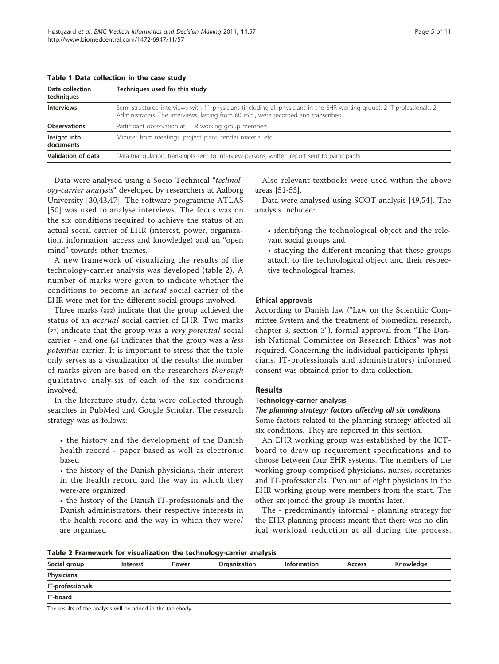| Data collection<br>techniques | Techniques used for this study<br>Semi structured interviews with 11 physicians (including all physicians in the EHR working group), 2 IT-professionals, 2<br>Administrators. The interviews, lasting from 60 min., were recorded and transcribed. |  |  |  |  |  |
|-------------------------------|----------------------------------------------------------------------------------------------------------------------------------------------------------------------------------------------------------------------------------------------------|--|--|--|--|--|
| <b>Interviews</b>             |                                                                                                                                                                                                                                                    |  |  |  |  |  |
| <b>Observations</b>           | Participant observation at EHR working group members                                                                                                                                                                                               |  |  |  |  |  |
| Insight into<br>documents     | Minutes from meetings, project plans, tender material etc.                                                                                                                                                                                         |  |  |  |  |  |
| Validation of data            | Data-triangulation, transcripts sent to interview-persons, written report sent to participants                                                                                                                                                     |  |  |  |  |  |

<span id="page-4-0"></span>Table 1 Data collection in the case study

Data were analysed using a Socio-Technical "technology-carrier analysis" developed by researchers at Aalborg University [[30,](#page-9-0)[43,47](#page-10-0)]. The software programme ATLAS [[50](#page-10-0)] was used to analyse interviews. The focus was on the six conditions required to achieve the status of an actual social carrier of EHR (interest, power, organization, information, access and knowledge) and an "open mind" towards other themes.

A new framework of visualizing the results of the technology-carrier analysis was developed (table 2). A number of marks were given to indicate whether the conditions to become an actual social carrier of the EHR were met for the different social groups involved.

Three marks ( $\infty$ ) indicate that the group achieved the status of an accrual social carrier of EHR. Two marks  $(\Box \Box)$  indicate that the group was a very potential social carrier - and one  $(\infty)$  indicates that the group was a *less* potential carrier. It is important to stress that the table only serves as a visualization of the results; the number of marks given are based on the researchers thorough qualitative analy-sis of each of the six conditions involved.

In the literature study, data were collected through searches in PubMed and Google Scholar. The research strategy was as follows:

• the history and the development of the Danish health record - paper based as well as electronic based

• the history of the Danish physicians, their interest in the health record and the way in which they were/are organized

• the history of the Danish IT-professionals and the Danish administrators, their respective interests in the health record and the way in which they were/ are organized

Also relevant textbooks were used within the above areas [[51](#page-10-0)-[53\]](#page-10-0).

Data were analysed using SCOT analysis [[49,54](#page-10-0)]. The analysis included:

- identifying the technological object and the relevant social groups and
- studying the different meaning that these groups attach to the technological object and their respective technological frames.

#### Ethical approvals

According to Danish law ("Law on the Scientific Committee System and the treatment of biomedical research, chapter 3, section 3"), formal approval from "The Danish National Committee on Research Ethics" was not required. Concerning the individual participants (physicians, IT-professionals and administrators) informed consent was obtained prior to data collection.

# Results

#### Technology-carrier analysis

The planning strategy: factors affecting all six conditions Some factors related to the planning strategy affected all six conditions. They are reported in this section.

An EHR working group was established by the ICTboard to draw up requirement specifications and to choose between four EHR systems. The members of the working group comprised physicians, nurses, secretaries and IT-professionals. Two out of eight physicians in the EHR working group were members from the start. The other six joined the group 18 months later.

The - predominantly informal - planning strategy for the EHR planning process meant that there was no clinical workload reduction at all during the process.

Table 2 Framework for visualization the technology-carrier analysis

| Social group      | <b>Interest</b> | Power | Organization | <b>Information</b> | <b>Access</b> | Knowledge |  |
|-------------------|-----------------|-------|--------------|--------------------|---------------|-----------|--|
| <b>Physicians</b> |                 |       |              |                    |               |           |  |
| IT-professionals  |                 |       |              |                    |               |           |  |
| <b>IT-board</b>   |                 |       |              |                    |               |           |  |
|                   |                 |       |              |                    |               |           |  |

The results of the analysis will be added in the tablebody.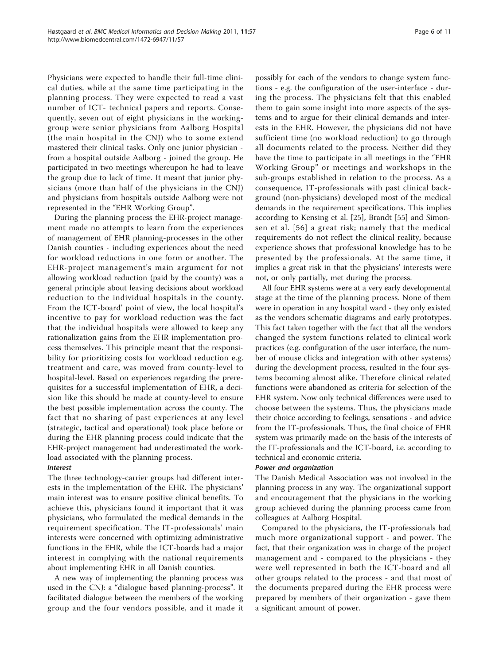Physicians were expected to handle their full-time clinical duties, while at the same time participating in the planning process. They were expected to read a vast number of ICT- technical papers and reports. Consequently, seven out of eight physicians in the workinggroup were senior physicians from Aalborg Hospital (the main hospital in the CNJ) who to some extend mastered their clinical tasks. Only one junior physician from a hospital outside Aalborg - joined the group. He participated in two meetings whereupon he had to leave the group due to lack of time. It meant that junior physicians (more than half of the physicians in the CNJ) and physicians from hospitals outside Aalborg were not represented in the "EHR Working Group".

During the planning process the EHR-project management made no attempts to learn from the experiences of management of EHR planning-processes in the other Danish counties - including experiences about the need for workload reductions in one form or another. The EHR-project management's main argument for not allowing workload reduction (paid by the county) was a general principle about leaving decisions about workload reduction to the individual hospitals in the county. From the ICT-board' point of view, the local hospital's incentive to pay for workload reduction was the fact that the individual hospitals were allowed to keep any rationalization gains from the EHR implementation process themselves. This principle meant that the responsibility for prioritizing costs for workload reduction e.g. treatment and care, was moved from county-level to hospital-level. Based on experiences regarding the prerequisites for a successful implementation of EHR, a decision like this should be made at county-level to ensure the best possible implementation across the county. The fact that no sharing of past experiences at any level (strategic, tactical and operational) took place before or during the EHR planning process could indicate that the EHR-project management had underestimated the workload associated with the planning process.

### Interest

The three technology-carrier groups had different interests in the implementation of the EHR. The physicians' main interest was to ensure positive clinical benefits. To achieve this, physicians found it important that it was physicians, who formulated the medical demands in the requirement specification. The IT-professionals' main interests were concerned with optimizing administrative functions in the EHR, while the ICT-boards had a major interest in complying with the national requirements about implementing EHR in all Danish counties.

A new way of implementing the planning process was used in the CNJ: a "dialogue based planning-process". It facilitated dialogue between the members of the working group and the four vendors possible, and it made it

possibly for each of the vendors to change system functions - e.g. the configuration of the user-interface - during the process. The physicians felt that this enabled them to gain some insight into more aspects of the systems and to argue for their clinical demands and interests in the EHR. However, the physicians did not have sufficient time (no workload reduction) to go through all documents related to the process. Neither did they have the time to participate in all meetings in the "EHR Working Group" or meetings and workshops in the sub-groups established in relation to the process. As a consequence, IT-professionals with past clinical background (non-physicians) developed most of the medical demands in the requirement specifications. This implies according to Kensing et al. [[25\]](#page-9-0), Brandt [\[55](#page-10-0)] and Simonsen et al. [[56\]](#page-10-0) a great risk; namely that the medical requirements do not reflect the clinical reality, because experience shows that professional knowledge has to be presented by the professionals. At the same time, it implies a great risk in that the physicians' interests were not, or only partially, met during the process.

All four EHR systems were at a very early developmental stage at the time of the planning process. None of them were in operation in any hospital ward - they only existed as the vendors schematic diagrams and early prototypes. This fact taken together with the fact that all the vendors changed the system functions related to clinical work practices (e.g. configuration of the user interface, the number of mouse clicks and integration with other systems) during the development process, resulted in the four systems becoming almost alike. Therefore clinical related functions were abandoned as criteria for selection of the EHR system. Now only technical differences were used to choose between the systems. Thus, the physicians made their choice according to feelings, sensations - and advice from the IT-professionals. Thus, the final choice of EHR system was primarily made on the basis of the interests of the IT-professionals and the ICT-board, i.e. according to technical and economic criteria.

### Power and organization

The Danish Medical Association was not involved in the planning process in any way. The organizational support and encouragement that the physicians in the working group achieved during the planning process came from colleagues at Aalborg Hospital.

Compared to the physicians, the IT-professionals had much more organizational support - and power. The fact, that their organization was in charge of the project management and - compared to the physicians - they were well represented in both the ICT-board and all other groups related to the process - and that most of the documents prepared during the EHR process were prepared by members of their organization - gave them a significant amount of power.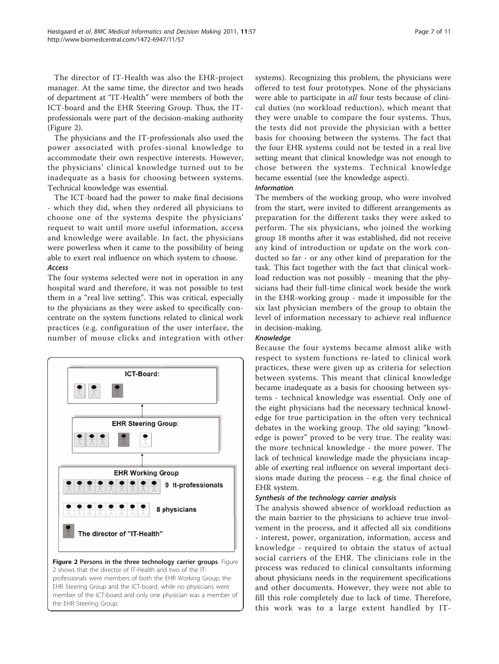The director of IT-Health was also the EHR-project manager. At the same time, the director and two heads of department at "IT-Health" were members of both the ICT-board and the EHR Steering Group. Thus, the ITprofessionals were part of the decision-making authority (Figure 2).

The physicians and the IT-professionals also used the power associated with profes-sional knowledge to accommodate their own respective interests. However, the physicians' clinical knowledge turned out to be inadequate as a basis for choosing between systems. Technical knowledge was essential.

The ICT-board had the power to make final decisions - which they did, when they ordered all physicians to choose one of the systems despite the physicians' request to wait until more useful information, access and knowledge were available. In fact, the physicians were powerless when it came to the possibility of being able to exert real influence on which system to choose. Access

The four systems selected were not in operation in any hospital ward and therefore, it was not possible to test them in a "real live setting". This was critical, especially to the physicians as they were asked to specifically concentrate on the system functions related to clinical work practices (e.g. configuration of the user interface, the number of mouse clicks and integration with other



professionals were members of both the EHR Working Group, the EHR Steering Group and the ICT-board, while no physicians were member of the ICT-board and only one physician was a member of the EHR Steering Group.

systems). Recognizing this problem, the physicians were offered to test four prototypes. None of the physicians were able to participate in *all* four tests because of clinical duties (no workload reduction), which meant that they were unable to compare the four systems. Thus, the tests did not provide the physician with a better basis for choosing between the systems. The fact that the four EHR systems could not be tested in a real live setting meant that clinical knowledge was not enough to chose between the systems. Technical knowledge became essential (see the knowledge aspect).

# Information

The members of the working group, who were involved from the start, were invited to different arrangements as preparation for the different tasks they were asked to perform. The six physicians, who joined the working group 18 months after it was established, did not receive any kind of introduction or update on the work conducted so far - or any other kind of preparation for the task. This fact together with the fact that clinical workload reduction was not possibly - meaning that the physicians had their full-time clinical work beside the work in the EHR-working group - made it impossible for the six last physician members of the group to obtain the level of information necessary to achieve real influence in decision-making.

### Knowledge

Because the four systems became almost alike with respect to system functions re-lated to clinical work practices, these were given up as criteria for selection between systems. This meant that clinical knowledge became inadequate as a basis for choosing between systems - technical knowledge was essential. Only one of the eight physicians had the necessary technical knowledge for true participation in the often very technical debates in the working group. The old saying: "knowledge is power" proved to be very true. The reality was: the more technical knowledge - the more power. The lack of technical knowledge made the physicians incapable of exerting real influence on several important decisions made during the process - e.g. the final choice of EHR system.

# Synthesis of the technology carrier analysis

The analysis showed absence of workload reduction as the main barrier to the physicians to achieve true involvement in the process, and it affected all six conditions - interest, power, organization, information, access and knowledge - required to obtain the status of actual social carriers of the EHR. The clinicians role in the process was reduced to clinical consultants informing about physicians needs in the requirement specifications and other documents. However, they were not able to fill this role completely due to lack of time. Therefore, this work was to a large extent handled by IT-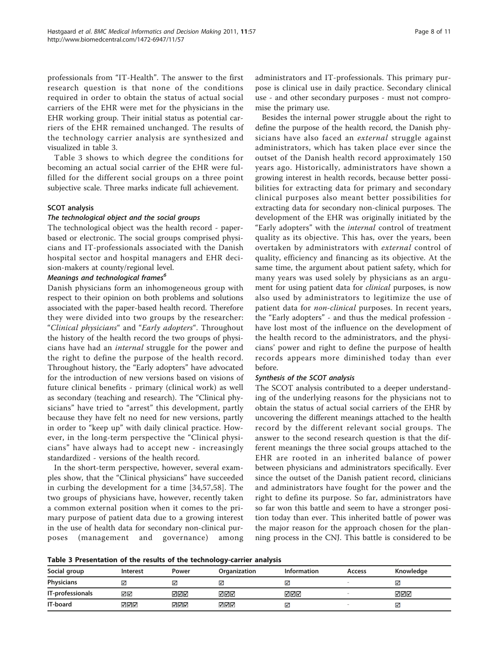professionals from "IT-Health". The answer to the first research question is that none of the conditions required in order to obtain the status of actual social carriers of the EHR were met for the physicians in the EHR working group. Their initial status as potential carriers of the EHR remained unchanged. The results of the technology carrier analysis are synthesized and visualized in table 3.

Table 3 shows to which degree the conditions for becoming an actual social carrier of the EHR were fulfilled for the different social groups on a three point subjective scale. Three marks indicate full achievement.

### SCOT analysis

#### The technological object and the social groups

The technological object was the health record - paperbased or electronic. The social groups comprised physicians and IT-professionals associated with the Danish hospital sector and hospital managers and EHR decision-makers at county/regional level.

#### Meanings and technological frames<sup>6</sup>

Danish physicians form an inhomogeneous group with respect to their opinion on both problems and solutions associated with the paper-based health record. Therefore they were divided into two groups by the researcher: "Clinical physicians" and "Early adopters". Throughout the history of the health record the two groups of physicians have had an internal struggle for the power and the right to define the purpose of the health record. Throughout history, the "Early adopters" have advocated for the introduction of new versions based on visions of future clinical benefits - primary (clinical work) as well as secondary (teaching and research). The "Clinical physicians" have tried to "arrest" this development, partly because they have felt no need for new versions, partly in order to "keep up" with daily clinical practice. However, in the long-term perspective the "Clinical physicians" have always had to accept new - increasingly standardized - versions of the health record.

In the short-term perspective, however, several examples show, that the "Clinical physicians" have succeeded in curbing the development for a time [\[34,57](#page-10-0),[58\]](#page-10-0). The two groups of physicians have, however, recently taken a common external position when it comes to the primary purpose of patient data due to a growing interest in the use of health data for secondary non-clinical purposes (management and governance) among administrators and IT-professionals. This primary purpose is clinical use in daily practice. Secondary clinical use - and other secondary purposes - must not compromise the primary use.

Besides the internal power struggle about the right to define the purpose of the health record, the Danish physicians have also faced an external struggle against administrators, which has taken place ever since the outset of the Danish health record approximately 150 years ago. Historically, administrators have shown a growing interest in health records, because better possibilities for extracting data for primary and secondary clinical purposes also meant better possibilities for extracting data for secondary non-clinical purposes. The development of the EHR was originally initiated by the "Early adopters" with the *internal* control of treatment quality as its objective. This has, over the years, been overtaken by administrators with external control of quality, efficiency and financing as its objective. At the same time, the argument about patient safety, which for many years was used solely by physicians as an argument for using patient data for *clinical* purposes, is now also used by administrators to legitimize the use of patient data for *non-clinical* purposes. In recent years, the "Early adopters" - and thus the medical profession have lost most of the influence on the development of the health record to the administrators, and the physicians' power and right to define the purpose of health records appears more diminished today than ever before.

#### Synthesis of the SCOT analysis

The SCOT analysis contributed to a deeper understanding of the underlying reasons for the physicians not to obtain the status of actual social carriers of the EHR by uncovering the different meanings attached to the health record by the different relevant social groups. The answer to the second research question is that the different meanings the three social groups attached to the EHR are rooted in an inherited balance of power between physicians and administrators specifically. Ever since the outset of the Danish patient record, clinicians and administrators have fought for the power and the right to define its purpose. So far, administrators have so far won this battle and seem to have a stronger position today than ever. This inherited battle of power was the major reason for the approach chosen for the planning process in the CNJ. This battle is considered to be

| Table 3 Presentation of the results of the technology-carrier analysis |  |  |  |  |
|------------------------------------------------------------------------|--|--|--|--|
|------------------------------------------------------------------------|--|--|--|--|

|                   |                 |       | --           |                    |        |           |
|-------------------|-----------------|-------|--------------|--------------------|--------|-----------|
| Social group      | <b>Interest</b> | Power | Organization | <b>Information</b> | Access | Knowledge |
| <b>Physicians</b> |                 | ☑     | ☑            | ☑                  |        | ☑         |
| IT-professionals  | ⊽⊠              | ⊠⊠    | বাবা         | ⊠⊠                 |        | ⊠⊠        |
| <b>IT-board</b>   | ⊠⊠              | ⊠⊠    | ⊠⊠           | ☑                  |        | ☑         |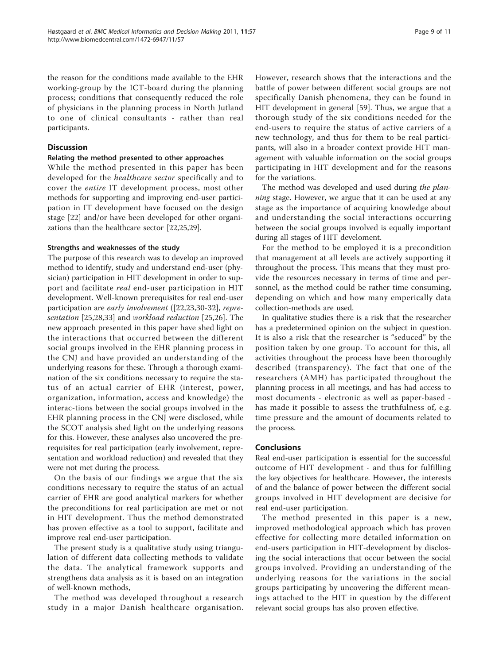the reason for the conditions made available to the EHR working-group by the ICT-board during the planning process; conditions that consequently reduced the role of physicians in the planning process in North Jutland to one of clinical consultants - rather than real participants.

# **Discussion**

### Relating the method presented to other approaches

While the method presented in this paper has been developed for the healthcare sector specifically and to cover the entire IT development process, most other methods for supporting and improving end-user participation in IT development have focused on the design stage [[22\]](#page-9-0) and/or have been developed for other organizations than the healthcare sector [[22,25,29](#page-9-0)].

# Strengths and weaknesses of the study

The purpose of this research was to develop an improved method to identify, study and understand end-user (physician) participation in HIT development in order to support and facilitate real end-user participation in HIT development. Well-known prerequisites for real end-user participation are early involvement ([[22,23,30](#page-9-0)-[32\]](#page-10-0), representation [\[25,28](#page-9-0),[33](#page-10-0)] and workload reduction [[25,26\]](#page-9-0). The new approach presented in this paper have shed light on the interactions that occurred between the different social groups involved in the EHR planning process in the CNJ and have provided an understanding of the underlying reasons for these. Through a thorough examination of the six conditions necessary to require the status of an actual carrier of EHR (interest, power, organization, information, access and knowledge) the interac-tions between the social groups involved in the EHR planning process in the CNJ were disclosed, while the SCOT analysis shed light on the underlying reasons for this. However, these analyses also uncovered the prerequisites for real participation (early involvement, representation and workload reduction) and revealed that they were not met during the process.

On the basis of our findings we argue that the six conditions necessary to require the status of an actual carrier of EHR are good analytical markers for whether the preconditions for real participation are met or not in HIT development. Thus the method demonstrated has proven effective as a tool to support, facilitate and improve real end-user participation.

The present study is a qualitative study using triangulation of different data collecting methods to validate the data. The analytical framework supports and strengthens data analysis as it is based on an integration of well-known methods,

The method was developed throughout a research study in a major Danish healthcare organisation. However, research shows that the interactions and the battle of power between different social groups are not specifically Danish phenomena, they can be found in HIT development in general [\[59\]](#page-10-0). Thus, we argue that a thorough study of the six conditions needed for the end-users to require the status of active carriers of a new technology, and thus for them to be real participants, will also in a broader context provide HIT management with valuable information on the social groups participating in HIT development and for the reasons for the variations.

The method was developed and used during the planning stage. However, we argue that it can be used at any stage as the importance of acquiring knowledge about and understanding the social interactions occurring between the social groups involved is equally important during all stages of HIT develoment.

For the method to be employed it is a precondition that management at all levels are actively supporting it throughout the process. This means that they must provide the resources necessary in terms of time and personnel, as the method could be rather time consuming, depending on which and how many emperically data collection-methods are used.

In qualitative studies there is a risk that the researcher has a predetermined opinion on the subject in question. It is also a risk that the researcher is "seduced" by the position taken by one group. To account for this, all activities throughout the process have been thoroughly described (transparency). The fact that one of the researchers (AMH) has participated throughout the planning process in all meetings, and has had access to most documents - electronic as well as paper-based has made it possible to assess the truthfulness of, e.g. time pressure and the amount of documents related to the process.

# Conclusions

Real end-user participation is essential for the successful outcome of HIT development - and thus for fulfilling the key objectives for healthcare. However, the interests of and the balance of power between the different social groups involved in HIT development are decisive for real end-user participation.

The method presented in this paper is a new, improved methodological approach which has proven effective for collecting more detailed information on end-users participation in HIT-development by disclosing the social interactions that occur between the social groups involved. Providing an understanding of the underlying reasons for the variations in the social groups participating by uncovering the different meanings attached to the HIT in question by the different relevant social groups has also proven effective.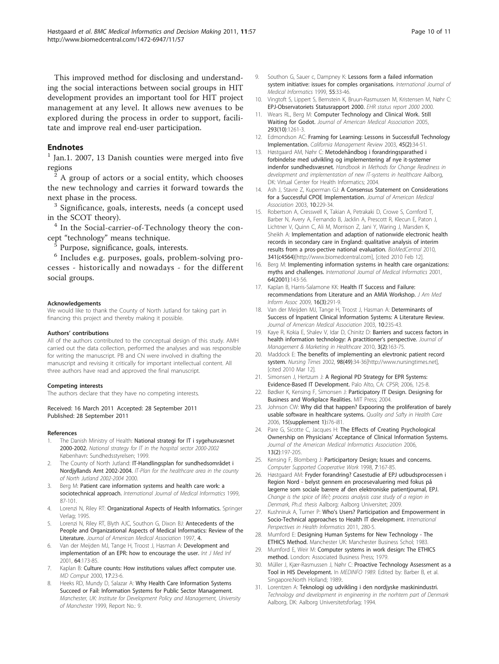# Endnotes

 $1$  Jan.1. 2007, 13 Danish counties were merged into five

regions<br> $\frac{2}{3}$  A group of actors or a social entity, which chooses the new technology and carries it forward towards the

next phase in the process.<br><sup>3</sup> Significance, goals, interests, needs (a concept used in the SCOT theory).<br> $4 \text{ In the Social-carrier-of-Technology theory the con-}$ 

cept "technology" means technique. <sup>5</sup> Purpose, significance, goals, interests.

<span id="page-9-0"></span>tate and improve real end-user participation.

<sup>6</sup> Includes e.g. purposes, goals, problem-solving processes - historically and nowadays - for the different social groups.

#### Acknowledgements

We would like to thank the County of North Jutland for taking part in financing this project and thereby making it possible.

#### Authors' contributions

All of the authors contributed to the conceptual design of this study. AMH carried out the data collection, performed the analyses and was responsible for writing the manuscript. PB and CN were involved in drafting the manuscript and revising it critically for important intellectual content. All three authors have read and approved the final manuscript.

#### Competing interests

The authors declare that they have no competing interests.

Received: 16 March 2011 Accepted: 28 September 2011 Published: 28 September 2011

#### References

- The Danish Ministry of Health: National strategi for IT i sygehusvæsnet 2000-2002. National strategy for IT in the hospital sector 2000-2002 København: Sundhedsstyrelsen; 1999.
- 2. The County of North Jutland: IT-Handlingsplan for sundhedsområdet i Nordjyllands Amt 2002-2004. IT-Plan for the healthcare area in the county of North Jutland 2002-2004 2000.
- Berg M: Patient care information systems and health care work: a sociotechnical approach. International Journal of Medical Informatics 1999, 87-101.
- 4. Lorenzi N, Riley RT: Organizational Aspects of Health Informatics. Springer Verlag; 1995.
- 5. Lorenzi N, Riley RT, Blyth AJC, Southon G, Dixon BJ: Antecedents of the People and Organizational Aspects of Medical Informatics: Review of the Literature. Journal of American Medical Association 1997, 4.
- 6. Van der Meijden MJ, Tange H, Troost J, Hasman A: Development and implementation of an EPR: how to encourage the user. Int J Med Inf 2001, 64:173-85.
- 7. Kaplan B: [Culture counts: How institutions values affect computer use.](http://www.ncbi.nlm.nih.gov/pubmed/11050855?dopt=Abstract) MD Comput 2000, 17:23-6.
- Heeks RD, Mundy D, Salazar A: Why Health Care Information Systems Succeed or Fail: Information Systems for Public Sector Management. Manchester, UK: Institute for Development Policy and Management, University of Manchester 1999, Report No.: 9.
- 9. Southon G. Sauer c. Dampney K: [Lessons form a failed information](http://www.ncbi.nlm.nih.gov/pubmed/10471239?dopt=Abstract) [system initiative: issues for comples organisations.](http://www.ncbi.nlm.nih.gov/pubmed/10471239?dopt=Abstract) International Journal of Medical Informatics 1999, 55:33-46.
- 10. Vingtoft S, Lippert S, Bernstein K, Bruun-Rasmussen M, Kristensen M, Nøhr C: EPJ-Observatoriets Statusrapport 2000. EHR status report 2000 2000.
- 11. Wears RL, Berg M: Computer Technology and Clinical Work. Still Waiting for Godot. Journal of American Medical Association 2005, 293(10):1261-3.
- 12. Edmondson AC: Framing for Learning: Lessons in Successfull Technology Implementation. California Management Review 2003, 45(2):34-51.
- 13. Høstgaard AM, Nøhr C: Metodehåndbog i forandringsparathed i forbindelse med udvikling og implementering af nye it-systemer indenfor sundhedsvæsnet. Handbook in Methods for Change Readiness in development and implementation of new IT-systems in healthcare Aalborg, DK: Virtual Center for Health Informatics; 2004.
- 14. Ash J, Stavre Z, Kuperman GJ: A Consensus Statement on Considerations for a Successful CPOE Implementation. Journal of American Medical Association 2003, 10:229-34.
- 15. Robertson A, Cresswell K, Takian A, Petrakaki D, Crowe S, Cornford T, Barber N, Avery A, Fernando B, Jacklin A, Prescott R, Klecun E, Paton J, Lichtner V, Quinn C, Ali M, Morrison Z, Jani Y, Waring J, Marsden K, Sheikh A: Implementation and adaption of nationwide electronic health records in secondary care in England: qualitative analysis of interim results from a pros-pective national evaluation. BioMedCentral 2010, 341(c4564)[\[http://www.biomedcentral.com\]](http://www.biomedcentral.com), [cited 2010 Feb 12].
- 16. Berg M: [Implementing information systems in health care organizations:](http://www.ncbi.nlm.nih.gov/pubmed/11734382?dopt=Abstract) [myths and challenges.](http://www.ncbi.nlm.nih.gov/pubmed/11734382?dopt=Abstract) International Journal of Medical Informatics 2001, 64(2001):143-56.
- 17. Kaplan B, Harris-Salamone KK: [Health IT Success and Failure:](http://www.ncbi.nlm.nih.gov/pubmed/19261935?dopt=Abstract) [recommendations from Literature and an AMIA Workshop.](http://www.ncbi.nlm.nih.gov/pubmed/19261935?dopt=Abstract) J Am Med Inform Assoc 2009, 16(3):291-9.
- 18. Van der Meijden MJ, Tange H, Troost J, Hasman A: Determinants of Success of Inpatient Clinical Information Systems: A Literature Review. Journal of American Medical Association 2003, 10:235-43.
- 19. Kaye R, Kokia E, Shalev V, Idar D, Chinitz D: [Barriers and success factors in](http://www.ncbi.nlm.nih.gov/pubmed/21746869?dopt=Abstract) [health information technology: A practitioner](http://www.ncbi.nlm.nih.gov/pubmed/21746869?dopt=Abstract)'s perspective. Journal of Management & Marketing in Healthcare 2010, 3(2):163-75.
- 20. Maddock E: [The benefits of implementing an elevtronic patient record](http://www.ncbi.nlm.nih.gov/pubmed/12518550?dopt=Abstract) [system.](http://www.ncbi.nlm.nih.gov/pubmed/12518550?dopt=Abstract) Nursing Times 2002, 98(49):34-36[[http://www.nursingtimes.net\]](http://www.nursingtimes.net), [cited 2010 Mar 12].
- 21. Simonsen J, Hertzum J: A Regional PD Strategy for EPR Systems: Evidence-Based IT Development. Palo Alto, CA: CPSR; 2006, 125-8.
- 22. Bødker K, Kensing F, Simonsen J: Participatory IT Design. Designing for Business and Workplace Realities. MIT Press; 2004.
- 23. Johnson CW: Why did that happen? Expooring the proliferation of barely usable software in healthcare systems. Quality and Safty in Health Care 2006, 15(supplement 1):i76-i81.
- 24. Pare G, Sicotte C, Jacques H: [The Effects of Creating Psychological](http://www.ncbi.nlm.nih.gov/pubmed/16357351?dopt=Abstract) Ownership on Physicians' [Acceptance of Clinical Information Systems.](http://www.ncbi.nlm.nih.gov/pubmed/16357351?dopt=Abstract) Journal of the American Medical Informatics Association 2006, 13(2):197-205.
- 25. Kensing F, Blomberg J: Participartory Design; Issues and concerns. Computer Supported Cooperative Work 1998, 7:167-85.
- 26. Høstgaard AM: [Fryder forandring? Casestudie af EPJ udbudsprocessen i](http://www.ncbi.nlm.nih.gov/pubmed/21569448?dopt=Abstract) [Region Nord - belyst gennem en procesevaluering med fokus på](http://www.ncbi.nlm.nih.gov/pubmed/21569448?dopt=Abstract) [lægerne som sociale bærere af den elektroniske patientjournal, EPJ.](http://www.ncbi.nlm.nih.gov/pubmed/21569448?dopt=Abstract) Change is the spice of life?; process analysis case study of a region in Denmark, Ph.d. thesis Aalborg: Aalborg Universitet; 2009.
- 27. Kushniruk A, Turner P: Who's Users? Participation and Empowerment in Socio-Technical approaches to Health IT development. International Perspectives in Health Informatics 2011, 280-5.
- 28. Mumford E: Designing Human Systems for New Technology The ETHICS Method. Manchester UK: Manchester Business Schol; 1983.
- 29. Mumford E, Weir M: Computer systems in work design: The ETHICS method. London: Associated Business Press; 1979.
- 30. Müller J, Kjær-Rasmussen J, Nøhr C: Proactive Technology Assessment as a Tool in HIS Development. In MEDINFO 1989. Edited by: Barber B, et al. Singapore.North Holland; 1989:.
- 31. Lorentzen A: Teknologi og udvikling i den nordjyske maskinindustri. Technology and development in engineering in the norhtern part of Denmark Aalborg, DK: Aalborg Universitetsforlag; 1994.